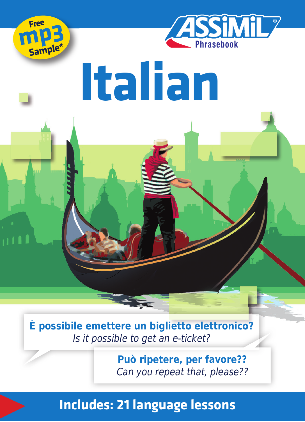



# **Italian**

**È possibile emettere un biglietto elettronico?**  Is it possible to get an e-ticket?

> **Può ripetere, per favore??** Can you repeat that, please??

### **Includes: 21 language lessons**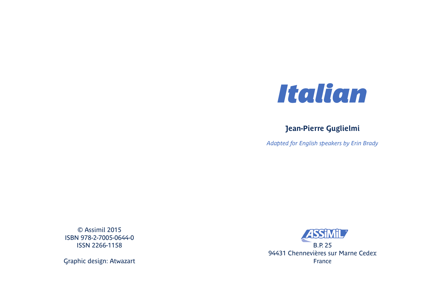

#### **Jean-Pierre Guglielmi**

*Adapted for English speakers by Erin Brady*

© Assimil 2015 ISBN 978-2-7005-0644-0 ISSN 2266-1158

Graphic design: Atwazart

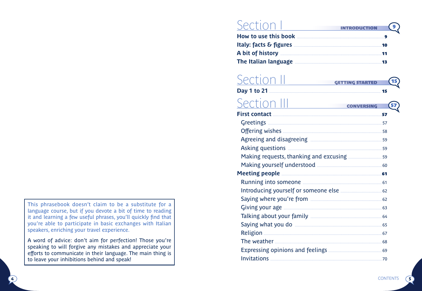This phrasebook doesn't claim to be a substitute for a language course, but if you devote a bit of time to reading it and learning a few useful phrases, you'll quickly find that you're able to participate in basic exchanges with Italian speakers, enriching your travel experience.

A word of advice: don't aim for perfection! Those you're speaking to will forgive any mistakes and appreciate your efforts to communicate in their language. The main thing is to leave your inhibitions behind and speak!

4

#### Section I **INTRODUCTION INTRODUCTION 9 How to use this book ..............................................................................9 Italy: facts & fi gures ...............................................................................10 A bit of history ...........................................................................................11 The Italian language ..............................................................................13**

#### Section II **GETTING STARTED GETTINGSTARTED 15 Day 1 to 21 .................................................................................................... 15** Section III **CONVERSING First contact ..................................................................................................57** Greetings **......................................................................................................** 57 Off ering wishes **.........................................................................................** 58 Agreeing and disagreeing **................................................................** 59 Asking questions **....................................................................................** 59 Making requests, thanking and excusing **..............................** 59 Making yourself understood **..........................................................** 60 **Meeting people ..........................................................................................61** Running into someone **.......................................................................** 61 Introducing yourself or someone else **.....................................** 62 Saying where you're from **................................................................** 62 Giving your age **........................................................................................** 63 Talking about your family **................................................................** 64 Saying what you do **..............................................................................** 65 Religion **..........................................................................................................** 67 The weather **................................................................................................** 68 Expressing opinions and feelings **................................................** 69

Invitations **....................................................................................................** 70

5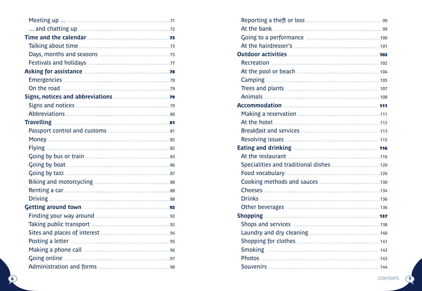| Time and the calendar <b>Example 23</b>                                                             |  |
|-----------------------------------------------------------------------------------------------------|--|
|                                                                                                     |  |
|                                                                                                     |  |
|                                                                                                     |  |
| Asking for assistance <b>Manufacture 1988</b>                                                       |  |
|                                                                                                     |  |
|                                                                                                     |  |
| Signs, notices and abbreviations <b>Manual Action</b> 79                                            |  |
|                                                                                                     |  |
|                                                                                                     |  |
|                                                                                                     |  |
|                                                                                                     |  |
|                                                                                                     |  |
|                                                                                                     |  |
|                                                                                                     |  |
|                                                                                                     |  |
|                                                                                                     |  |
|                                                                                                     |  |
|                                                                                                     |  |
|                                                                                                     |  |
| Getting around town <b>contract to the COVID-22</b> section of the COVID-22 section of the COVID-22 |  |
|                                                                                                     |  |
|                                                                                                     |  |
| Sites and places of interest <b>Manual According to the Sites</b> and places of interest            |  |
|                                                                                                     |  |
|                                                                                                     |  |
|                                                                                                     |  |
|                                                                                                     |  |

| Recreation 2008 2012 2023 2024 2024 2024 203 204 204 204 204 204 205 206 207 208 209 2008 2012 2024 2036 204 20 |  |
|-----------------------------------------------------------------------------------------------------------------|--|
|                                                                                                                 |  |
|                                                                                                                 |  |
|                                                                                                                 |  |
|                                                                                                                 |  |
| Accommodation 2008 2014                                                                                         |  |
|                                                                                                                 |  |
|                                                                                                                 |  |
|                                                                                                                 |  |
|                                                                                                                 |  |
|                                                                                                                 |  |
|                                                                                                                 |  |
|                                                                                                                 |  |
|                                                                                                                 |  |
|                                                                                                                 |  |
|                                                                                                                 |  |
|                                                                                                                 |  |
|                                                                                                                 |  |
| <b>Shopping 222 237 237</b>                                                                                     |  |
|                                                                                                                 |  |
|                                                                                                                 |  |
|                                                                                                                 |  |
|                                                                                                                 |  |
|                                                                                                                 |  |
|                                                                                                                 |  |

 $\bigcap$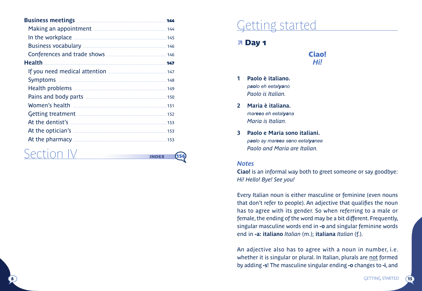| <b>Business meetings</b>                                | 166 |
|---------------------------------------------------------|-----|
|                                                         | 144 |
| In the workplace                                        | 145 |
|                                                         |     |
|                                                         |     |
| <b>Health</b>                                           | 147 |
|                                                         | 147 |
|                                                         |     |
|                                                         |     |
|                                                         | 150 |
|                                                         | 151 |
|                                                         | 152 |
| At the dentist's <b>continuum and all the dentist's</b> | 153 |
|                                                         | 153 |
|                                                         | 153 |
|                                                         |     |

## Section IV **INDEX** 156

## Getting started

#### **7 Day 1**



- **1 Paolo è italiano.** *paolo eh eetalyano Paolo is Italian.*
- **2 Maria è italiana.** *mareea eh eetalyana Maria is Italian.*
- **3 Paolo e Maria sono italiani.** *paolo ay mareea sono eetalyanee Paolo and Maria are Italian.*

#### *Notes*

**Ciao!** is an informal way both to greet someone or say goodbye: *Hi! Hello! Bye! See you!* 

Every Italian noun is either masculine or feminine (even nouns that don't refer to people). An adjective that qualifies the noun has to agree with its gender. So when referring to a male or female, the ending of the word may be a bit different. Frequently, singular masculine words end in **-o** and singular feminine words end in **-a: italiano** *Italian* (m.); **italiana** *Italian* (f.).

An adjective also has to agree with a noun in number, i.e. whether it is singular or plural. In Italian, plurals are not formed by adding **-s**! The masculine singular ending **-o** changes to **-i**, and

 $\sqrt{15}$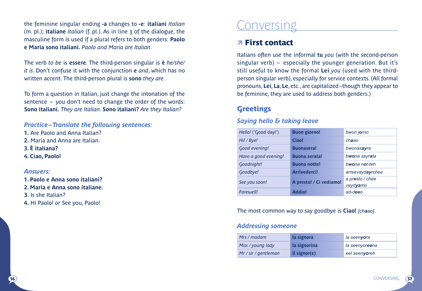the feminine singular ending **-a** changes to **-e**: **italiani** *Italian*  (m. pl.); **italiane** *Italian* (f. pl.). As in line 3 of the dialogue, the masculine form is used if a plural refers to both genders: **Paolo e Maria sono italiani.** *Paolo and Maria are Italian.* 

The verb *to be* is **essere**. The third-person singular is **è** *he/she/ it is*. Don't confuse it with the conjunction **e** *and*, which has no written accent. The third-person plural is **sono** *they are*.

To form a question in Italian, just change the intonation of the sentence – you don't need to change the order of the words: **Sono italiani.** *They are Italian.* **Sono italiani?** *Are they Italian?* 

*Practice– Translate the following sentences:* 

**1.** Are Paolo and Anna Italian? **2.** Maria and Anna are Italian. **3. È italiana? 4. Ciao, Paolo!**

#### *Answers:*

**1. Paolo e Anna sono italiani? 2. Maria e Anna sono italiane. 3.** Is she Italian? **4.** Hi Paolo! *or* See you, Paolo!

## **Conversing**

#### � First contact

Italians often use the informal **tu** *you* (with the second-person singular verb) – especially the younger generation. But it's still useful to know the formal **Lei** *you* (used with the thirdperson singular verb), especially for service contexts. (All formal pronouns, **Lei**, **La**, **Le**, etc., are capitalized– though they appear to be feminine, they are used to address both genders.)

#### **Greetings**

#### *Saying hello & taking leave*

| Hello! ('Good day!') | <b>Buon giorno!</b>     | bwon jorno                  |
|----------------------|-------------------------|-----------------------------|
| Hi! / Bye!           | Ciaol                   | chaao                       |
| Good evening!        | <b>Buonasera!</b>       | bwonasayra                  |
| Have a good evening! | <b>Buona serata!</b>    | bwona sayrata               |
| Goodnight!           | <b>Buona notte!</b>     | bwona not-teh               |
| Goodbye!             | <b>Arrivederci!</b>     | arreevaydayrchee            |
| See you soon!        | A presto! / Ci vediamo! | a presto / chee<br>vaydvamo |
| Farewell!            | <b>Addio!</b>           | ad-deeo                     |

The most common way to say goodbye is **Ciao!** *[chaao]*.

#### *Addressing someone*

| Mrs / madam          | la signora   | la seenyora    |
|----------------------|--------------|----------------|
| Miss / young lady    | la signorina | la seenyoreena |
| Mr / sir / gentleman | il signor(e) | eel seenvoreh  |

57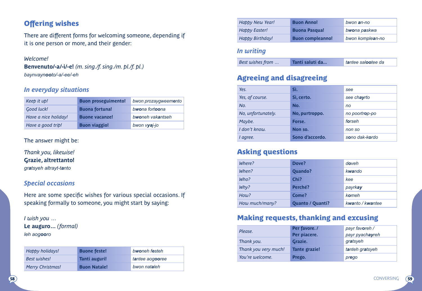#### **Offering wishes**

There are different forms for welcoming someone, depending if it is one person or more, and their gender:

#### *Welcome!*

**Benvenuto/-a/-i/-e!** *(m. sing./f. sing./m. pl./f. pl.) baynvaynooto/-a/-ee/-eh*

#### *In everyday situations*

| Keep it up!          | <b>Buon proseguimento!</b> | bwon prozaygweemento |
|----------------------|----------------------------|----------------------|
| <b>Good luck!</b>    | <b>Buona fortuna!</b>      | bwona fortoona       |
| Have a nice holiday! | <b>Buone vacanze!</b>      | bwoneh vakantseh     |
| Have a good trip!    | <b>Buon viaggio!</b>       | bwon vyaj-jo         |

#### The answer might be:

*Thank you, likewise!* **Grazie, altrettanto!** *gratsyeh altrayt-tanto* 

#### *Special occasions*

Here are some specific wishes for various special occasions. If speaking formally to someone, you might start by saying:

*I wish you …* 

**Le auguro…** *(formal) leh aogooro*

| Happy holidays!         | <b>Buone feste!</b> | bwoneh festeh   |
|-------------------------|---------------------|-----------------|
| <b>Best wishes!</b>     | Tanti auguri!       | tantee aogooree |
| <b>Merry Christmas!</b> | <b>Buon Natale!</b> | bwon nataleh    |

| Happy New Year!      | <b>Buon Anno!</b>       | bwon an-no       |
|----------------------|-------------------------|------------------|
| <b>Happy Easter!</b> | <b>Buona Pasqua!</b>    | bwona paskwa     |
| Happy Birthday!      | <b>Buon compleanno!</b> | bwon komplean-no |

#### *In writing*

| Best wishes from<br>Tanti saluti da | tantee salootee da |
|-------------------------------------|--------------------|
|-------------------------------------|--------------------|

#### Agreeing and disagreeing

| Yes.               | Sì.             | see            |
|--------------------|-----------------|----------------|
| Yes, of course.    | Sì. certo.      | see chayrto    |
| No.                | No.             | no             |
| No, unfortunately. | No, purtroppo.  | no poortrop-po |
| Maybe.             | Forse.          | forseh         |
| I don't know.      | Non so.         | non so         |
| I agree.           | Sono d'accordo. | sono dak-kordo |

#### Asking questions

| Where?         | Dove?                   | doveh            |
|----------------|-------------------------|------------------|
| When?          | Quando?                 | kwando           |
| Who?           | Chi?                    | kee              |
| Why?           | Perché?                 | payrkay          |
| How?           | Come?                   | komeh            |
| How much/many? | <b>Quanto / Quanti?</b> | kwanto / kwantee |

#### Making requests, thanking and excusing

| Please.              | Per favore./  | payr favoreh /  |
|----------------------|---------------|-----------------|
|                      | Per piacere.  | payr pyachayreh |
| Thank you.           | Grazie.       | gratsyeh        |
| Thank you very much! | Tante grazie! | tanteh gratsyeh |
| You're welcome.      | Prego.        | prego           |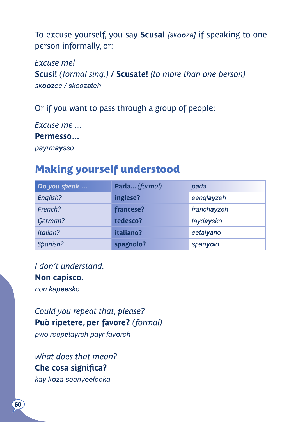To excuse yourself, you say **Scusa!** *[skooza]* if speaking to one person informally, or:

*Excuse me!* **Scusi!** *(formal sing.)* **/ Scusate!** *(to more than one person) skoozee / skoozateh* 

Or if you want to pass through a group of people:

*Excuse me ...*  **Permesso…**

*payrmaysso*

#### Making yourself understood

| Do you speak | Parla (formal) | parla       |
|--------------|----------------|-------------|
| English?     | inglese?       | eenglayzeh  |
| French?      | francese?      | franchayzeh |
| German?      | tedesco?       | taydaysko   |
| Italian?     | italiano?      | eetalvano   |
| Spanish?     | spagnolo?      | spanyolo    |

*I don't understand.*  **Non capisco.** *non kapeesko* 

*Could you repeat that, please?*  **Può ripetere, per favore?** *(formal) pwo reepetayreh payr favoreh*

*What does that mean?* **Che cosa significa?** *kay koza seenyeefeeka*